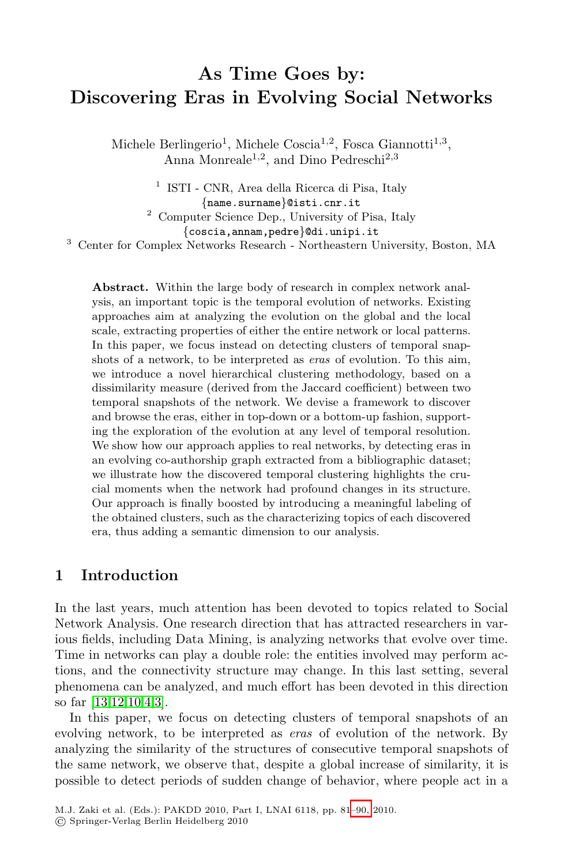# **As Time Goes by: Discovering Eras in Evolving Social Networks**

Michele Berlingerio<sup>1</sup>, Michele Coscia<sup>1,2</sup>, Fosca Giannotti<sup>1,3</sup>, Anna Monreale<sup>1,2</sup>, and Dino Pedreschi<sup>2,3</sup>

<sup>1</sup> ISTI - CNR, Area della Ricerca di Pisa, Italy *{*name.surname*}*@isti.cnr.it <sup>2</sup> Computer Science Dep., University of Pisa, Italy *{*coscia,annam,pedre*}*@di.unipi.it <sup>3</sup> Center for Complex Networks Research - Northeastern University, Boston, MA

**Abstract.** Within the large body of research in complex network analysis, an important topic is the temporal evolution of networks. Existing approaches aim at analyzing the evolution on the global and the local scale, extracting properties of either the entire network or local patterns. In this paper, we focus instead on detecting clusters of temporal snapshots of a network, to be interpreted as *eras* of evolution. To this aim, we introduce a novel hierarchical clustering methodology, based on a dissimilarity measure (derived from the Jaccard coefficient) between two temporal snapshots of the network. We devise a framework to discover and browse the eras, either in top-down or a bottom-up fashion, supporting the exploration of the evolution at any level of temporal resolution. We show how our approach applies to real networks, by detecting eras in an evolving co-authorship graph extracted from a bibliographic dataset; we illustrate how the discovered temporal clustering highlights the crucial moments when the network had profound changes in its structure. Our approach is finally boosted by introducing a meaningful labeling of the obtained clusters, such as the characterizing topics of each discovered era, thus adding a semantic dimension to our analysis.

# **1 Introduction**

In the last years, much attention has been devoted to topics related to Social Network Analysis. One research direction that has attracted researchers in various fields, including Data Mining, is analyzing networks that evolve over time. Time in networks can play a double role: the entities involved may perform actions, and the connectivity structure may change. In this last setting, several phenomena can be analyzed, and [mu](#page-9-0)ch effort has been devoted in this direction so far [13,12,10,4,3].

In this paper, we focus on detecting clusters of temporal snapshots of an evolving network, to be interpreted as *eras* of evolution of the network. By analyzing the similarity of the structures of consecutive temporal snapshots of the same network, we observe that, despite a global increase of similarity, it is possible to detect periods of sudden change of behavior, where people act in a

M.J. Zaki et al. (Eds.): PAKDD 2010, Part I, LNAI 6118, pp. 81–90, 2010.

<sup>©</sup> Springer-Verlag Berlin Heidelberg 2010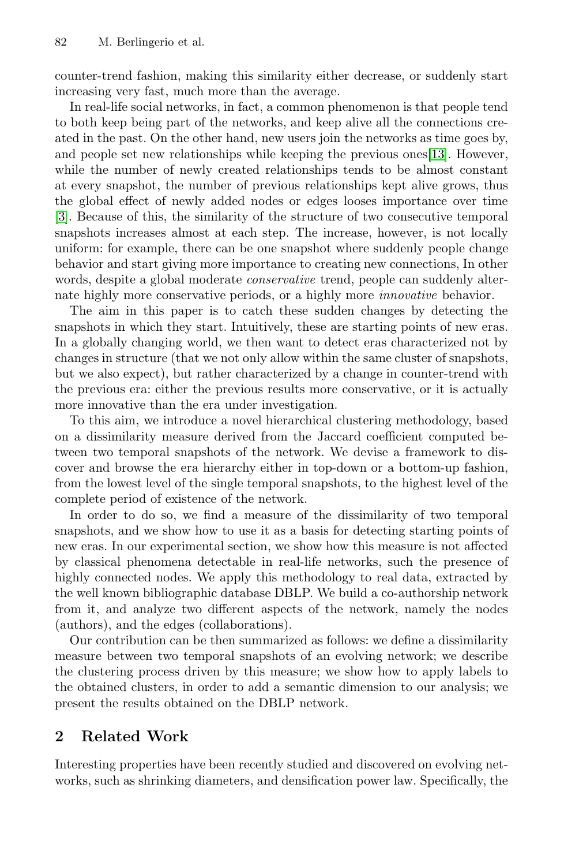counter-trend fashion, making this similarity either decrease, or suddenly start increasing very fast, much more than the average.

In real-life social networks, in fact, a common phenomenon is that people tend to both keep being part of the networks, and keep alive all the connections created in the past. On the other hand, new users join the networks as time goes by, and people set new relationships while keeping the previous ones[13]. However, while the number of newly created relationships tends to be almost constant at every snapshot, the number of previous relationships kept alive grows, thus the global effect of newly added nodes or edges looses importance over time [3]. Because of this, the similarity of the structure of two consecutive temporal snapshots increases almost at each step. The increase, however, is not locally uniform: for example, there can be one snapshot where suddenly people change behavior and start giving more importance to creating new connections, In other words, despite a global moderate *conservative* trend, people can suddenly alternate highly more conservative periods, or a highly more *innovative* behavior.

The aim in this paper is to catch these sudden changes by detecting the snapshots in which they start. Intuitively, these are starting points of new eras. In a globally changing world, we then want to detect eras characterized not by changes in structure (that we not only allow within the same cluster of snapshots, but we also expect), but rather characterized by a change in counter-trend with the previous era: either the previous results more conservative, or it is actually more innovative than the era under investigation.

To this aim, we introduce a novel hierarchical clustering methodology, based on a dissimilarity measure derived from the Jaccard coefficient computed between two temporal snapshots of the network. We devise a framework to discover and browse the era hierarchy either in top-down or a bottom-up fashion, from the lowest level of the single temporal snapshots, to the highest level of the complete period of existence of the network.

In order to do so, we find a measure of the dissimilarity of two temporal snapshots, and we show how to use it as a basis for detecting starting points of new eras. In our experimental section, we show how this measure is not affected by classical phenomena detectable in real-life networks, such the presence of highly connected nodes. We apply this methodology to real data, extracted by the well known bibliographic database DBLP. We build a co-authorship network from it, and analyze two different aspects of the network, namely the nodes (authors), and the edges (collaborations).

Our contribution can be then summarized as follows: we define a dissimilarity measure between two temporal snapshots of an evolving network; we describe the clustering process driven by this measure; we show how to apply labels to the obtained clusters, in order to add a semantic dimension to our analysis; we present the results obtained on the DBLP network.

### **2 Related Work**

Interesting properties have been recently studied and discovered on evolving networks, such as shrinking diameters, and densification power law. Specifically, the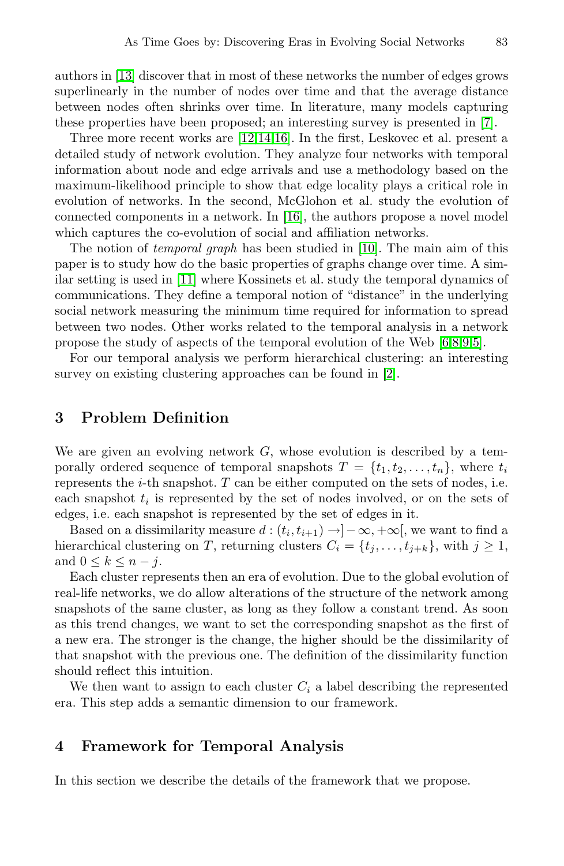authors in [13] discover that in most of these networks the number of edges grows superlinearly in the [num](#page-9-1)ber of nodes over time and that the average distance between nodes often shrinks over time. In literature, many models capturing these properties have been propos[ed;](#page-9-2) an interesting survey is presented in [7].

Three more recent works are [12,14,16]. In the first, Leskovec et al. present a de[tail](#page-9-3)ed study of network evolution. They analyze four networks with temporal information about node and edge arrivals and use a methodology based on the maximum-likelihood principle to show that edge locality plays a critical role in evolution of networks. In the second, McGlohon et al. study the evolution of connected components in a network. In [16], the [a](#page-9-4)[ut](#page-9-5)[h](#page-9-6)[ors](#page-9-7) propose a novel model which captures the co-evolution of social and affiliation networks.

The notion of *temporal graph* has b[een](#page-9-8) studied in [10]. The main aim of this paper is to study how do the basic properties of graphs change over time. A similar setting is used in [11] where Kossinets et al. study the temporal dynamics of communications. They define a temporal notion of "distance" in the underlying social network measuring the minimum time required for information to spread between two nodes. Other works related to the temporal analysis in a network propose the study of aspects of the temporal evolution of the Web [6,8,9,5].

For our temporal analysis we perform hierarchical clustering: an interesting survey on existing clustering approaches can be found in  $[2]$ .

# **3 Problem Definition**

We are given an evolving network *G*, whose evolution is described by a temporally ordered sequence of temporal snapshots  $T = \{t_1, t_2, \ldots, t_n\}$ , where  $t_i$ represents the *i*-th snapshot. *T* can be either computed on the sets of nodes, i.e. each snapshot *t<sup>i</sup>* is represented by the set of nodes involved, or on the sets of edges, i.e. each snapshot is represented by the set of edges in it.

Based on a dissimilarity measure  $d$  :  $(t_i, t_{i+1}) \rightarrow ]-\infty, +\infty[$ , we want to find a hierarchical clustering on *T*, returning clusters  $C_i = \{t_j, \ldots, t_{j+k}\}\$ , with  $j \geq 1$ , and  $0 \leq k \leq n - j$ .

Each cluster represents then an era of evolution. Due to the global evolution of real-life networks, we do allow alterations of the structure of the network among snapshots of the same cluster, as long as they follow a constant trend. As soon as this trend changes, we want to set the corresponding snapshot as the first of a new era. The stronger is the change, the higher should be the dissimilarity of that snapshot with the previous one. The definition of the dissimilarity function should reflect this intuition.

We then want to assign to each cluster  $C_i$  a label describing the represented era. This step adds a semantic dimension to our framework.

# **4 Framework for Temporal Analysis**

In this section we describe the details of the framework that we propose.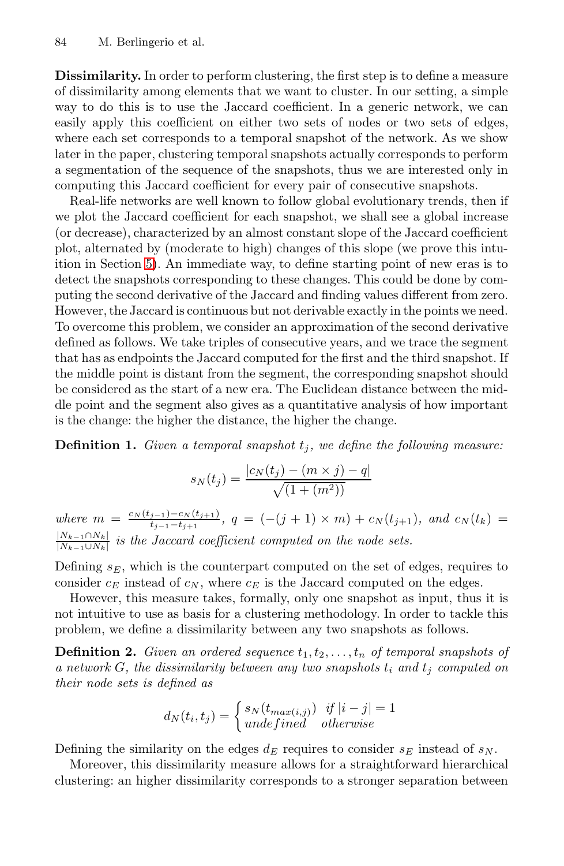**Dissimilarity.** In order to perform clustering, the first step is to define a measure of dissimilarity among elements that we want to cluster. In our setting, a simple way to do this is to use the Jaccard coefficient. In a generic network, we can easily apply this coefficient on either two sets of nodes or two sets of edges, where each set corresponds to a temporal snapshot of the network. As we show later in the paper, clustering temporal snapshots actually corresponds to perform a segmentation of the sequence of the snapshots, thus we are interested only in computing this Jaccard coefficient for every pair of consecutive snapshots.

Real-life networks are well known to follow global evolutionary trends, then if we plot the Jaccard coefficient for each snapshot, we shall see a global increase (or decrease), characterized by an almost constant slope of the Jaccard coefficient plot, alternated by (moderate to high) changes of this slope (we prove this intuition in Section 5). An immediate way, to define starting point of new eras is to detect the snapshots corresponding to these changes. This could be done by computing the second derivative of the Jaccard and finding values different from zero. However, the Jaccard is continuous but not derivable exactly in the points we need. To overcome this problem, we consider an approximation of the second derivative defined as follows. We take triples of consecutive years, and we trace the segment that has as endpoints the Jaccard computed for the first and the third snapshot. If the middle point is distant from the segment, the corresponding snapshot should be considered as the start of a new era. The Euclidean distance between the middle point and the segment also gives as a quantitative analysis of how important is the change: the higher the distance, the higher the change.

**Definition 1.** *Given a temporal snapshot*  $t_j$ *, we define the following measure:* 

<span id="page-3-0"></span>
$$
s_N(t_j) = \frac{|c_N(t_j) - (m \times j) - q|}{\sqrt{(1 + (m^2))}}
$$

where  $m = \frac{c_N(t_{j-1}) - c_N(t_{j+1})}{t_{j-1} - t_{j+1}}, q = (- (j+1) \times m) + c_N(t_{j+1}),$  and  $c_N(t_k) =$  $\frac{|N_{k-1} \cap N_k|}{|N_{k-1} \cup N_k|}$  is the Jaccard coefficient computed on the node sets.

Defining *sE*, which is the counterpart computed on the set of edges, requires to consider  $c_E$  instead of  $c_N$ , where  $c_E$  is the Jaccard computed on the edges.

However, this measure takes, formally, only one snapshot as input, thus it is not intuitive to use as basis for a clustering methodology. In order to tackle this problem, we define a dissimilarity between any two snapshots as follows.

**Definition 2.** *Given an ordered sequence*  $t_1, t_2, \ldots, t_n$  *of temporal snapshots of a network G, the dissimilarity between any two snapshots t<sup>i</sup> and t<sup>j</sup> computed on their node sets is defined as*

$$
d_N(t_i, t_j) = \begin{cases} s_N(t_{max(i,j)}) & if \ |i - j| = 1 \\ undefined & otherwise \end{cases}
$$

Defining the similarity on the edges  $d_E$  requires to consider  $s_E$  instead of  $s_N$ .

Moreover, this dissimilarity measure allows for a straightforward hierarchical clustering: an higher dissimilarity corresponds to a stronger separation between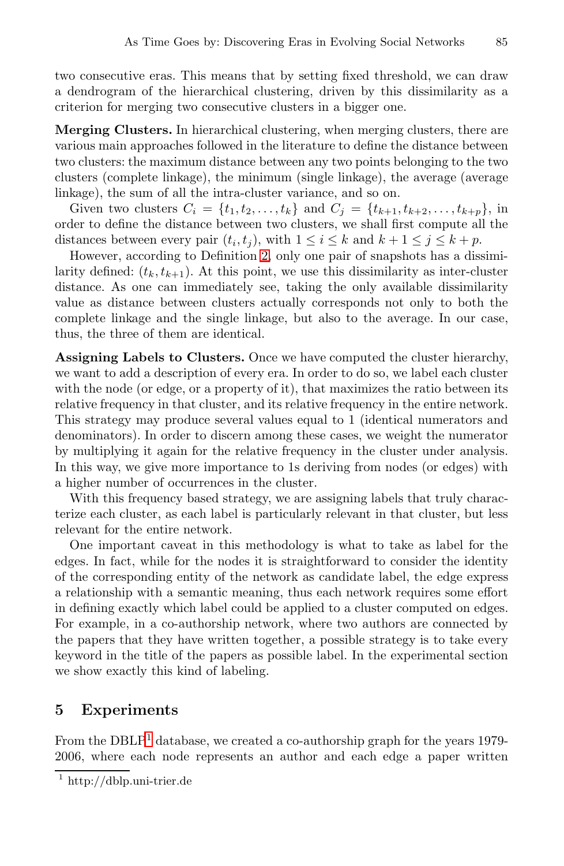two consecutive eras. This means that by setting fixed threshold, we can draw a dendrogram of the hierarchical clustering, driven by this dissimilarity as a criterion for merging two consecutive clusters in a bigger one.

**Merging Clust[er](#page-3-0)s.** In hierarchical clustering, when merging clusters, there are various main approaches followed in the literature to define the distance between two clusters: the maximum distance between any two points belonging to the two clusters (complete linkage), the minimum (single linkage), the average (average linkage), the sum of all the intra-cluster variance, and so on.

Given two clusters  $C_i = \{t_1, t_2, ..., t_k\}$  and  $C_j = \{t_{k+1}, t_{k+2}, ..., t_{k+p}\}$ , in order to define the distance between two clusters, we shall first compute all the distances between every pair  $(t_i, t_j)$ , with  $1 \leq i \leq k$  and  $k + 1 \leq j \leq k + p$ .

However, according to Definition 2, only one pair of snapshots has a dissimilarity defined:  $(t_k, t_{k+1})$ . At this point, we use this dissimilarity as inter-cluster distance. As one can immediately see, taking the only available dissimilarity value as distance between clusters actually corresponds not only to both the complete linkage and the single linkage, but also to the average. In our case, thus, the three of them are identical.

**Assigning Labels to Clusters.** Once we have computed the cluster hierarchy, we want to add a description of every era. In order to do so, we label each cluster with the node (or edge, or a property of it), that maximizes the ratio between its relative frequency in that cluster, and its relative frequency in the entire network. This strategy may produce several values equal to 1 (identical numerators and denominators). In order to discern among these cases, we weight the numerator by multiplying it again for the relative frequency in the cluster under analysis. In this way, we give more importance to 1s deriving from nodes (or edges) with a higher number of occurrences in the cluster.

With this frequency based strategy, we are assigning labels that truly characterize each cluster, as each label is particularly relevant in that cluster, but less relevant for the entire network.

One important caveat in this methodology is what to take as label for the edges. In fact, while for the nodes it is straightforward to consider the identity of the corresponding entity of the network as candidate label, the edge express a relationship with a semantic meaning, thus each network requires some effort in defining exactly which label could be applied to a cluster computed on edges. For example, in a co-authorship network, where two authors are connected by the papers that they have written together, a possible strategy is to take every keyword in the title of the papers as possible label. In the experimental section we show exactly this kind of labeling.

### **5 Experiments**

From the DBLP<sup>1</sup> database, we created a co-authorship graph for the years 1979-2006, where each node represents an author and each edge a paper written

 $\frac{1}{1}$ http://dblp.uni-trier.de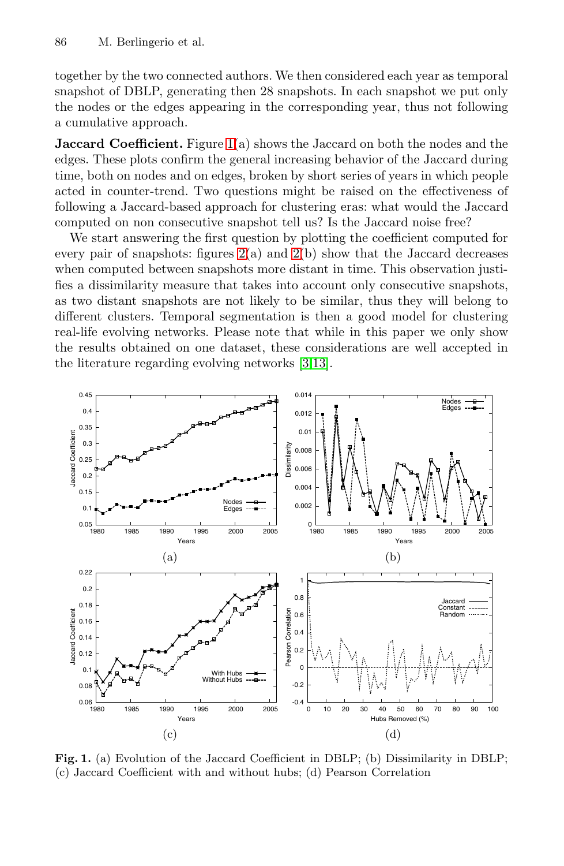together by the two connected authors. We then considered each year as temporal snapshot of DBLP, generating then 28 snapshots. In each snapshot we put only the nodes or the edges appearing in the corresponding year, thus not following a cumulative [a](#page-6-0)pproac[h.](#page-6-0)

**Jaccard Coefficient.** Figure 1(a) shows the Jaccard on both the nodes and the edges. These plots confirm the general increasing behavior of the Jaccard during time, both on nodes and on edges, broken by short series of years in which people acted in counter-trend. Two questions might be raised on the effectiveness of following a Jaccard-based approach for clustering eras: what would the Jaccard computed on non consecutive snapshot tell us? Is the Jaccard noise free?

We start answering t[he](#page-9-9) [firs](#page-9-10)t question by plotting the coefficient computed for every pair of snapshots: figures  $2(a)$  and  $2(b)$  show that the Jaccard decreases when computed between snapshots more distant in time. This observation justifies a dissimilarity measure that takes into account only consecutive snapshots, as two distant snapshots are not likely to be similar, thus they will belong to different clusters. Temporal segmentation is then a good model for clustering real-life evolving networks. Please note that while in this paper we only show the results obtained on one dataset, these considerations are well accepted in the literature regarding evolving networks [3,13].



<span id="page-5-0"></span>Fig. 1. (a) Evolution of the Jaccard Coefficient in DBLP; (b) Dissimilarity in DBLP; (c) Jaccard Coefficient with and without hubs; (d) Pearson Correlation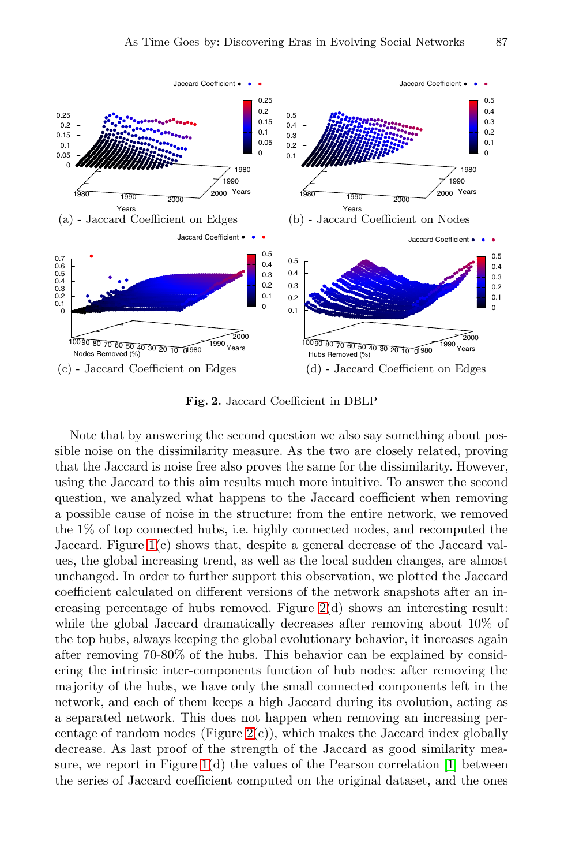

**Fig. 2.** Jaccard Coefficient in DBLP

<span id="page-6-0"></span>Note that by answering the second question we also say something about possible noise on the dissimilarity measure. As the two are closely related, proving that the Jaccard is noise free also proves the same for the dissimilarity. However, using the Jaccard to this ai[m](#page-6-0) results much more intuitive. To answer the second question, we analyzed what happens to the Jaccard coefficient when removing a possible cause of noise in the structure: from the entire network, we removed the 1% of top connected hubs, i.e. highly connected nodes, and recomputed the Jaccard. Figure 1(c) shows that, despite a general decrease of the Jaccard values, the global increasing trend, as well as the local sudden changes, are almost unchanged. In order to further support this observation, we plotted the Jaccard coefficient calculated on different versions of the network snapshots after an increasing perce[nt](#page-6-0)age of hubs removed. Figure  $2(d)$  shows an interesting result: while the global Jaccard dramatically decreases after removing about 10% of the to[p h](#page-5-0)ubs, always keeping the global evolution[ary](#page-9-11) behavior, it increases again after removing 70-80% of the hubs. This behavior can be explained by considering the intrinsic inter-components function of hub nodes: after removing the majority of the hubs, we have only the small connected components left in the network, and each of them keeps a high Jaccard during its evolution, acting as a separated network. This does not happen when removing an increasing percentage of random nodes (Figure  $2(c)$ ), which makes the Jaccard index globally decrease. As last proof of the strength of the Jaccard as good similarity measure, we report in Figure  $1(d)$  the values of the Pearson correlation [1] between the series of Jaccard coefficient computed on the original dataset, and the ones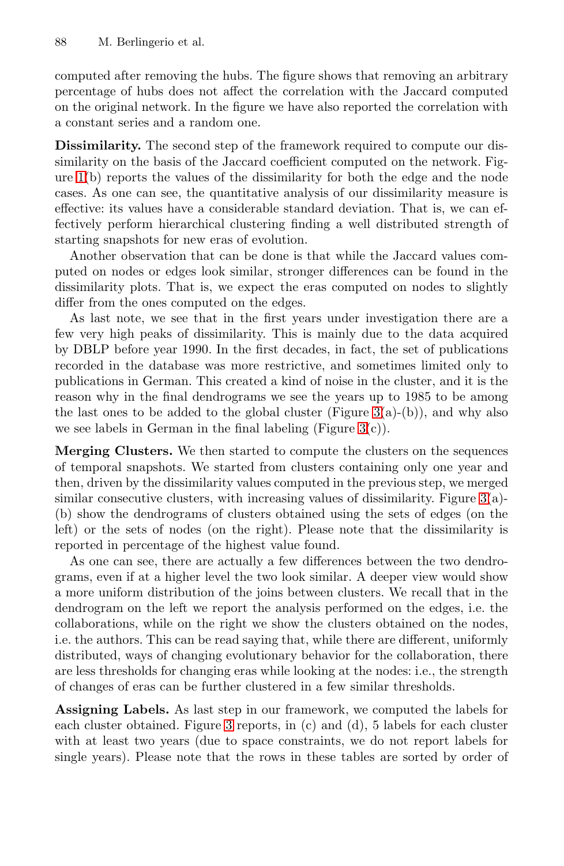computed after removing the hubs. The figure shows that removing an arbitrary percentage of hubs does not affect the correlation with the Jaccard computed on the original network. In the figure we have also reported the correlation with a constant series and a random one.

**Dissimilarity.** The second step of the framework required to compute our dissimilarity on the basis of the Jaccard coefficient computed on the network. Figure 1(b) reports the values of the dissimilarity for both the edge and the node cases. As one can see, the quantitative analysis of our dissimilarity measure is effective: its values have a considerable standard deviation. That is, we can effectively perform hierarchical clustering finding a well distributed strength of starting snapshots for new eras of evolution.

Another observation that can be done is that while the Jaccard values computed on nodes or edges look similar, stronger differences can be found in the dissimilarity plots. That is, we expe[ct](#page-8-0) the eras computed on nodes to slightly differ from the ones computed on [th](#page-8-0)e edges.

As last note, we see that in the first years under investigation there are a few very high peaks of dissimilarity. This is mainly due to the data acquired by DBLP before year 1990. In the first decades, in fact, the set of publications recorded in the database was more restrictive, and sometimes limited only to publications in German. This created a kind of noise in [th](#page-8-0)e cluster, and it is the reason why in the final dendrograms we see the years up to 1985 to be among the last ones to be added to the global cluster (Figure  $3(a)-(b)$ ), and why also we see labels in German in the final labeling (Figure  $3(c)$ ).

**Merging Clusters.** We then started to compute the clusters on the sequences of temporal snapshots. We started from clusters containing only one year and then, driven by the dissimilarity values computed in the previous step, we merged similar consecutive clusters, with increasing values of dissimilarity. Figure  $3(a)$ -(b) show the dendrograms of clusters obtained using the sets of edges (on the left) or the sets of nodes (on the right). Please note that the dissimilarity is reported in percentage of the highest value found.

As one can see, there are actually a few differences between the two dendrograms, even if at a higher level the two look similar. A deeper view would show a more uniform distribution of the joins between clusters. We recall that in the dendrogra[m](#page-8-0) on the left we report the analysis performed on the edges, i.e. the collaborations, while on the right we show the clusters obtained on the nodes, i.e. the authors. This can be read saying that, while there are different, uniformly distributed, ways of changing evolutionary behavior for the collaboration, there are less thresholds for changing eras while looking at the nodes: i.e., the strength of changes of eras can be further clustered in a few similar thresholds.

**Assigning Labels.** As last step in our framework, we computed the labels for each cluster obtained. Figure 3 reports, in (c) and (d), 5 labels for each cluster with at least two years (due to space constraints, we do not report labels for single years). Please note that the rows in these tables are sorted by order of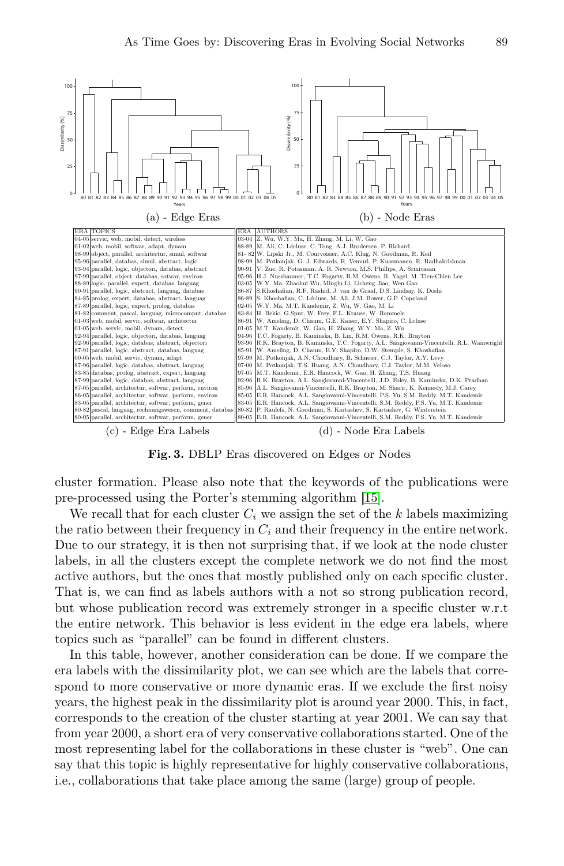

**Fig. 3.** DBLP Eras discovered on Edges or Nodes

<span id="page-8-0"></span>cluster formation. Please also note that the keywords of the publications were pre-processed using the Porter's stemming algorithm [15].

We recall that for each cluster  $C_i$  we assign the set of the  $k$  labels maximizing the ratio between their frequency in  $C_i$  and their frequency in the entire network. Due to our strategy, it is then not surprising that, if we look at the node cluster labels, in all the clusters except the complete network we do not find the most active authors, but the ones that mostly published only on each specific cluster. That is, we can find as labels authors with a not so strong publication record, but whose publication record was extremely stronger in a specific cluster w.r.t the entire network. This behavior is less evident in the edge era labels, where topics such as "parallel" can be found in different clusters.

In this table, however, another consideration can be done. If we compare the era labels with the dissimilarity plot, we can see which are the labels that correspond to more conservative or more dynamic eras. If we exclude the first noisy years, the highest peak in the dissimilarity plot is around year 2000. This, in fact, corresponds to the creation of the cluster starting at year 2001. We can say that from year 2000, a short era of very conservative collaborations started. One of the most representing label for the collaborations in these cluster is "web". One can say that this topic is highly representative for highly conservative collaborations, i.e., collaborations that take place among the same (large) group of people.